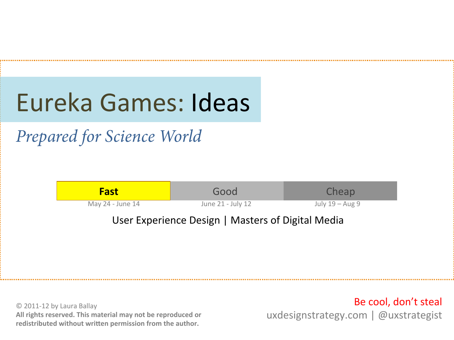# Eureka Games: Ideas

*Prepared for Science World* 



© 2011-12 by Laura Ballay All rights reserved. This material may not be reproduced or redistributed without written permission from the author.

Be cool, don't steal uxdesignstrategy.com | @uxstrategist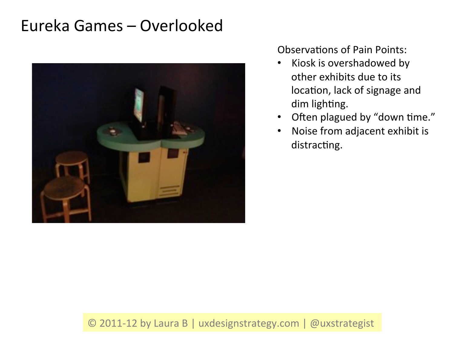# Eureka Games – Overlooked



Observations of Pain Points:

- Kiosk is overshadowed by other exhibits due to its location, lack of signage and dim lighting.
- Often plagued by "down time."
- Noise from adjacent exhibit is distracting.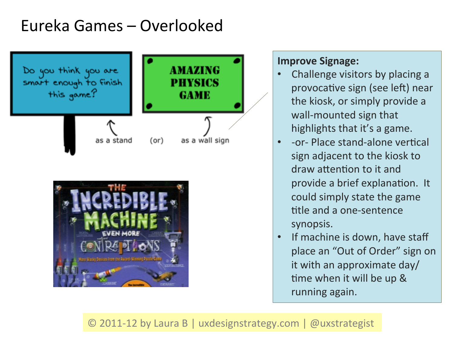### Eureka Games – Overlooked





#### **Improve Signage:**

- Challenge visitors by placing a provocative sign (see left) near the kiosk, or simply provide a wall-mounted sign that highlights that it's a game.
- -or- Place stand-alone vertical sign adjacent to the kiosk to draw attention to it and provide a brief explanation. It could simply state the game title and a one-sentence synopsis.
- If machine is down, have staff place an "Out of Order" sign on it with an approximate  $day/$ time when it will be up & running again.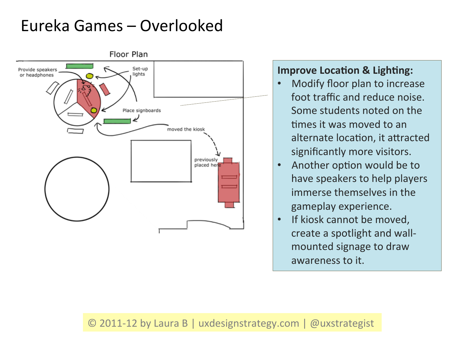# Eureka Games – Overlooked



#### **Improve Location & Lighting:**

- Modify floor plan to increase foot traffic and reduce noise. Some students noted on the times it was moved to an alternate location, it attracted significantly more visitors.
- Another option would be to have speakers to help players immerse themselves in the gameplay experience.
- If kiosk cannot be moved, create a spotlight and wallmounted signage to draw awareness to it.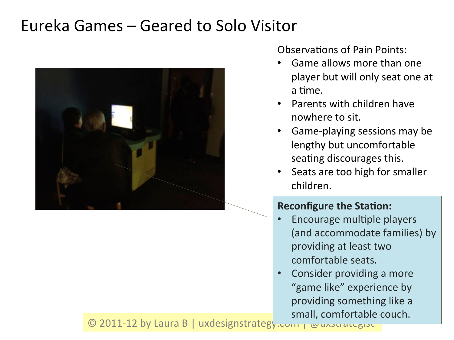### Eureka Games – Geared to Solo Visitor



Observations of Pain Points:

- Game allows more than one player but will only seat one at a time.
- **Parents with children have** nowhere to sit.
- Game-playing sessions may be lengthy but uncomfortable seating discourages this.
- Seats are too high for smaller children.

#### **Reconfigure the Station:**

- Encourage multiple players (and accommodate families) by providing at least two comfortable seats.
- Consider providing a more "game like" experience by providing something like a small, comfortable couch.

© 2011-12 by Laura B | uxdesignstrateg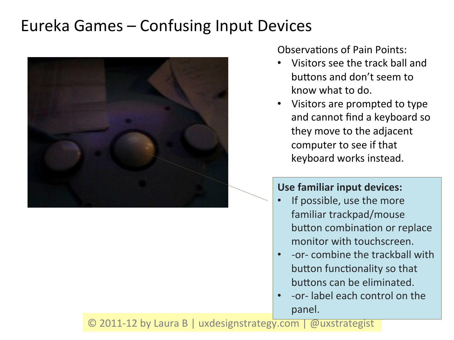# Eureka Games – Confusing Input Devices



Observations of Pain Points:

- Visitors see the track ball and buttons and don't seem to know what to do.
- Visitors are prompted to type and cannot find a keyboard so they move to the adjacent computer to see if that keyboard works instead.

#### Use familiar input devices:

- If possible, use the more familiar trackpad/mouse button combination or replace monitor with touchscreen.
- -or- combine the trackball with button functionality so that buttons can be eliminated.
- -or- label each control on the panel.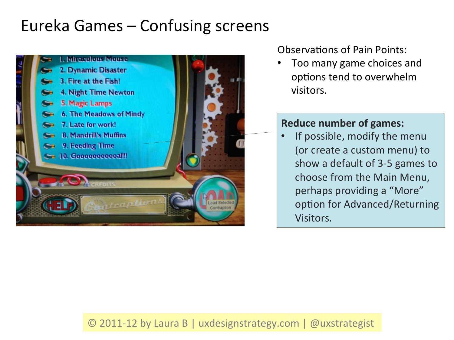# Eureka Games – Confusing screens



Observations of Pain Points:

Too many game choices and options tend to overwhelm visitors. 

#### **Reduce number of games:**

• If possible, modify the menu (or create a custom menu) to show a default of 3-5 games to choose from the Main Menu, perhaps providing a "More" option for Advanced/Returning Visitors.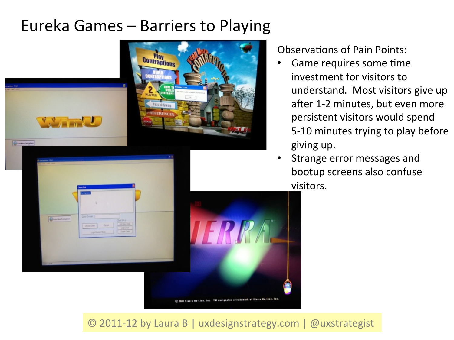### Eureka Games – Barriers to Playing



(C) 2001 Sierra Bo-Line, Inc. TM designates a trademark of Sierra Do-Line.

Observations of Pain Points:

- Game requires some time investment for visitors to understand. Most visitors give up after 1-2 minutes, but even more persistent visitors would spend 5-10 minutes trying to play before giving up.
- Strange error messages and bootup screens also confuse visitors.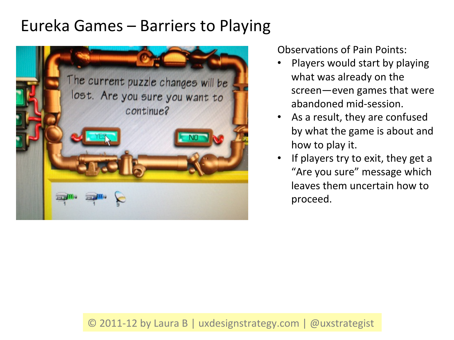### Eureka Games – Barriers to Playing



Observations of Pain Points:

- Players would start by playing what was already on the screen—even games that were abandoned mid-session.
- As a result, they are confused by what the game is about and how to play it.
- If players try to exit, they get a "Are you sure" message which leaves them uncertain how to proceed.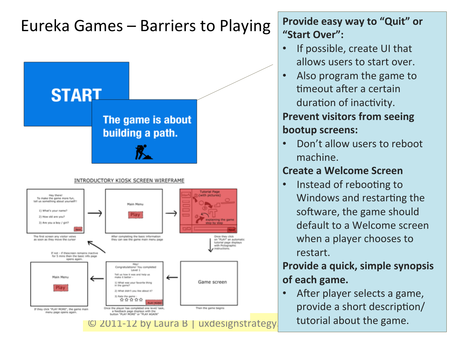# Eureka Games – Barriers to Playing **Provide easy way to "Quit"** or



"Start Over":

- If possible, create UI that allows users to start over.
- Also program the game to timeout after a certain duration of inactivity.

### **Prevent visitors from seeing bootup screens:**

Don't allow users to reboot machine. 

### **Create a Welcome Screen**

Instead of rebooting to Windows and restarting the software, the game should default to a Welcome screen when a player chooses to restart. 

### **Provide a quick, simple synopsis** of each game.

After player selects a game, provide a short description/ tutorial about the game.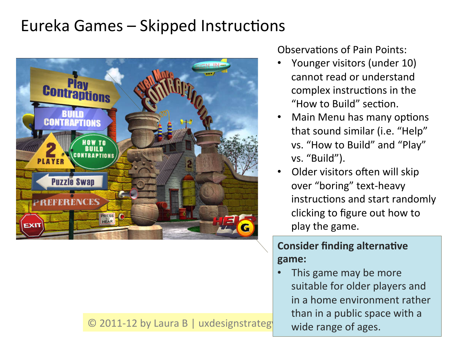# Eureka Games – Skipped Instructions



#### $\odot$  2011-12 by Laura B | uxdesignstrateg

Observations of Pain Points:

- Younger visitors (under 10) cannot read or understand complex instructions in the "How to Build" section.
- Main Menu has many options that sound similar (i.e. "Help" vs. "How to Build" and "Play" vs. "Build").
- Older visitors often will skip over "boring" text-heavy instructions and start randomly clicking to figure out how to play the game.

### **Consider finding alternative game:**

This game may be more suitable for older players and in a home environment rather than in a public space with a wide range of ages.